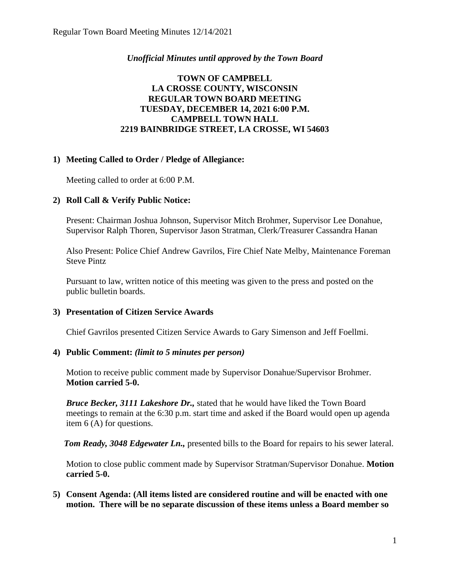## *Unofficial Minutes until approved by the Town Board*

# **TOWN OF CAMPBELL LA CROSSE COUNTY, WISCONSIN REGULAR TOWN BOARD MEETING TUESDAY, DECEMBER 14, 2021 6:00 P.M. CAMPBELL TOWN HALL 2219 BAINBRIDGE STREET, LA CROSSE, WI 54603**

## **1) Meeting Called to Order / Pledge of Allegiance:**

Meeting called to order at 6:00 P.M.

## **2) Roll Call & Verify Public Notice:**

Present: Chairman Joshua Johnson, Supervisor Mitch Brohmer, Supervisor Lee Donahue, Supervisor Ralph Thoren, Supervisor Jason Stratman, Clerk/Treasurer Cassandra Hanan

Also Present: Police Chief Andrew Gavrilos, Fire Chief Nate Melby, Maintenance Foreman Steve Pintz

Pursuant to law, written notice of this meeting was given to the press and posted on the public bulletin boards.

#### **3) Presentation of Citizen Service Awards**

Chief Gavrilos presented Citizen Service Awards to Gary Simenson and Jeff Foellmi.

#### **4) Public Comment:** *(limit to 5 minutes per person)*

Motion to receive public comment made by Supervisor Donahue/Supervisor Brohmer. **Motion carried 5-0.**

*Bruce Becker, 3111 Lakeshore Dr.,* stated that he would have liked the Town Board meetings to remain at the 6:30 p.m. start time and asked if the Board would open up agenda item 6 (A) for questions.

 *Tom Ready, 3048 Edgewater Ln.,* presented bills to the Board for repairs to his sewer lateral.

Motion to close public comment made by Supervisor Stratman/Supervisor Donahue. **Motion carried 5-0.**

**5) Consent Agenda: (All items listed are considered routine and will be enacted with one motion. There will be no separate discussion of these items unless a Board member so**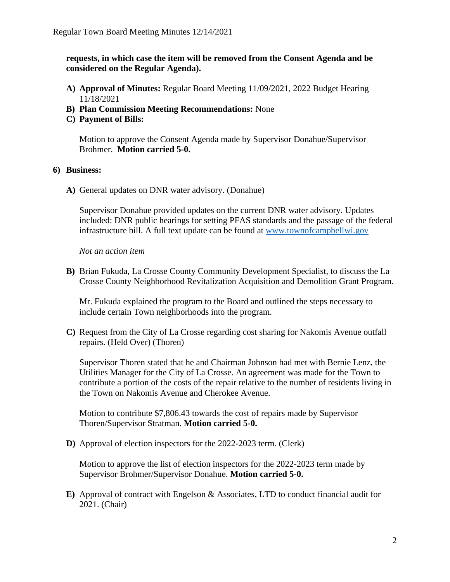**requests, in which case the item will be removed from the Consent Agenda and be considered on the Regular Agenda).**

- **A) Approval of Minutes:** Regular Board Meeting 11/09/2021, 2022 Budget Hearing 11/18/2021
- **B) Plan Commission Meeting Recommendations:** None
- **C) Payment of Bills:**

Motion to approve the Consent Agenda made by Supervisor Donahue/Supervisor Brohmer. **Motion carried 5-0.** 

#### **6) Business:**

**A)** General updates on DNR water advisory. (Donahue)

Supervisor Donahue provided updates on the current DNR water advisory. Updates included: DNR public hearings for setting PFAS standards and the passage of the federal infrastructure bill. A full text update can be found at [www.townofcampbellwi.gov](http://www.townofcampbellwi.gov/)

*Not an action item*

**B)** Brian Fukuda, La Crosse County Community Development Specialist, to discuss the La Crosse County Neighborhood Revitalization Acquisition and Demolition Grant Program.

Mr. Fukuda explained the program to the Board and outlined the steps necessary to include certain Town neighborhoods into the program.

**C)** Request from the City of La Crosse regarding cost sharing for Nakomis Avenue outfall repairs. (Held Over) (Thoren)

Supervisor Thoren stated that he and Chairman Johnson had met with Bernie Lenz, the Utilities Manager for the City of La Crosse. An agreement was made for the Town to contribute a portion of the costs of the repair relative to the number of residents living in the Town on Nakomis Avenue and Cherokee Avenue.

Motion to contribute \$7,806.43 towards the cost of repairs made by Supervisor Thoren/Supervisor Stratman. **Motion carried 5-0.**

**D)** Approval of election inspectors for the 2022-2023 term. (Clerk)

Motion to approve the list of election inspectors for the 2022-2023 term made by Supervisor Brohmer/Supervisor Donahue. **Motion carried 5-0.** 

**E)** Approval of contract with Engelson & Associates, LTD to conduct financial audit for 2021. (Chair)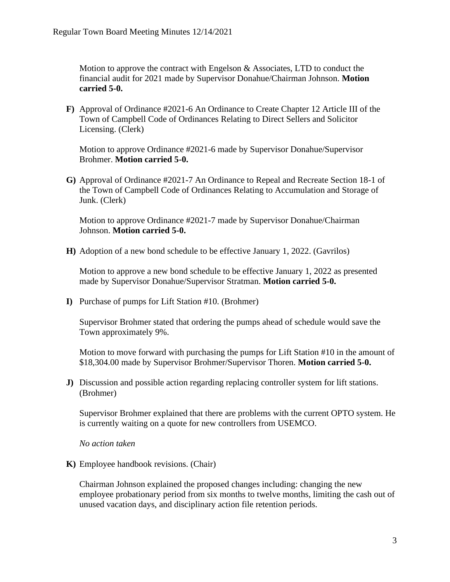Motion to approve the contract with Engelson & Associates, LTD to conduct the financial audit for 2021 made by Supervisor Donahue/Chairman Johnson. **Motion carried 5-0.**

**F)** Approval of Ordinance #2021-6 An Ordinance to Create Chapter 12 Article III of the Town of Campbell Code of Ordinances Relating to Direct Sellers and Solicitor Licensing. (Clerk)

Motion to approve Ordinance #2021-6 made by Supervisor Donahue/Supervisor Brohmer. **Motion carried 5-0.**

**G)** Approval of Ordinance #2021-7 An Ordinance to Repeal and Recreate Section 18-1 of the Town of Campbell Code of Ordinances Relating to Accumulation and Storage of Junk. (Clerk)

Motion to approve Ordinance #2021-7 made by Supervisor Donahue/Chairman Johnson. **Motion carried 5-0.** 

**H)** Adoption of a new bond schedule to be effective January 1, 2022. (Gavrilos)

Motion to approve a new bond schedule to be effective January 1, 2022 as presented made by Supervisor Donahue/Supervisor Stratman. **Motion carried 5-0.** 

**I)** Purchase of pumps for Lift Station #10. (Brohmer)

Supervisor Brohmer stated that ordering the pumps ahead of schedule would save the Town approximately 9%.

Motion to move forward with purchasing the pumps for Lift Station #10 in the amount of \$18,304.00 made by Supervisor Brohmer/Supervisor Thoren. **Motion carried 5-0.**

**J)** Discussion and possible action regarding replacing controller system for lift stations. (Brohmer)

Supervisor Brohmer explained that there are problems with the current OPTO system. He is currently waiting on a quote for new controllers from USEMCO.

*No action taken*

**K)** Employee handbook revisions. (Chair)

Chairman Johnson explained the proposed changes including: changing the new employee probationary period from six months to twelve months, limiting the cash out of unused vacation days, and disciplinary action file retention periods.